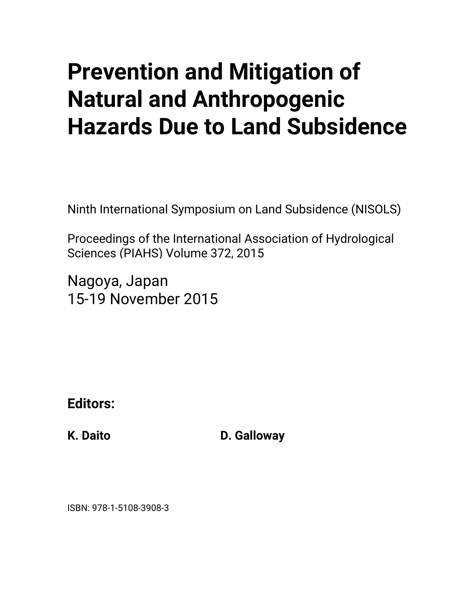# **Prevention and Mitigation of Natural and Anthropogenic Hazards Due to Land Subsidence**

Ninth International Symposium on Land Subsidence (NISOLS)

Proceedings of the International Association of Hydrological Sciences (PIAHS) Volume 372, 2015

Nagoya, Japan 15-19 November 2015

**Editors:** 

**K. Daito D. Galloway** 

ISBN: 978-1-5108-3908-3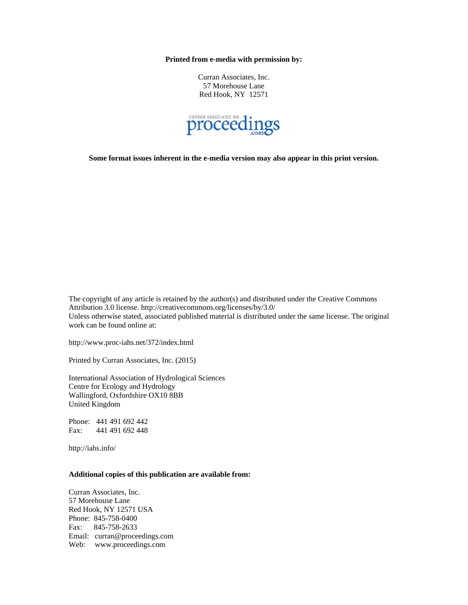**Printed from e-media with permission by:** 

Curran Associates, Inc. 57 Morehouse Lane Red Hook, NY 12571



**Some format issues inherent in the e-media version may also appear in this print version.** 

The copyright of any article is retained by the author(s) and distributed under the Creative Commons Attribution 3.0 license. http://creativecommons.org/licenses/by/3.0/ Unless otherwise stated, associated published material is distributed under the same license. The original work can be found online at:

http://www.proc-iahs.net/372/index.html

Printed by Curran Associates, Inc. (2015)

International Association of Hydrological Sciences Centre for Ecology and Hydrology Wallingford, Oxfordshire OX10 8BB United Kingdom

Phone: 441 491 692 442 Fax: 441 491 692 448

http://iahs.info/

#### **Additional copies of this publication are available from:**

Curran Associates, Inc. 57 Morehouse Lane Red Hook, NY 12571 USA Phone: 845-758-0400 Fax: 845-758-2633 Email: curran@proceedings.com Web: www.proceedings.com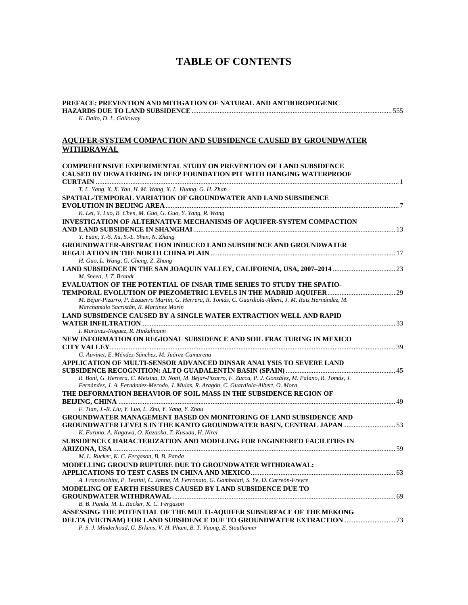# **TABLE OF CONTENTS**

| PREFACE: PREVENTION AND MITIGATION OF NATURAL AND ANTHOROPOGENIC                                                                     |  |
|--------------------------------------------------------------------------------------------------------------------------------------|--|
| K. Daito, D. L. Galloway                                                                                                             |  |
|                                                                                                                                      |  |
|                                                                                                                                      |  |
| <b>AQUIFER-SYSTEM COMPACTION AND SUBSIDENCE CAUSED BY GROUNDWATER</b>                                                                |  |
| WITHDRAWAL                                                                                                                           |  |
|                                                                                                                                      |  |
| <b>COMPREHENSIVE EXPERIMENTAL STUDY ON PREVENTION OF LAND SUBSIDENCE</b>                                                             |  |
| CAUSED BY DEWATERING IN DEEP FOUNDATION PIT WITH HANGING WATERPROOF                                                                  |  |
| T. L. Yang, X. X. Yan, H. M. Wang, X. L. Huang, G. H. Zhan                                                                           |  |
| SPATIAL-TEMPORAL VARIATION OF GROUNDWATER AND LAND SUBSIDENCE                                                                        |  |
|                                                                                                                                      |  |
| K. Lei, Y. Luo, B. Chen, M. Guo, G. Guo, Y. Yang, R. Wang                                                                            |  |
| INVESTIGATION OF ALTERNATIVE MECHANISMS OF AQUIFER-SYSTEM COMPACTION                                                                 |  |
|                                                                                                                                      |  |
| Y. Yuan, Y.-S. Xu, S.-L. Shen, N. Zhang                                                                                              |  |
| <b>GROUNDWATER-ABSTRACTION INDUCED LAND SUBSIDENCE AND GROUNDWATER</b>                                                               |  |
|                                                                                                                                      |  |
| H. Guo, L. Wang, G. Cheng, Z. Zhang                                                                                                  |  |
| M. Sneed, J. T. Brandt                                                                                                               |  |
| <b>EVALUATION OF THE POTENTIAL OF INSAR TIME SERIES TO STUDY THE SPATIO-</b>                                                         |  |
|                                                                                                                                      |  |
| M. Béjar-Pizarro, P. Ezquerro Martín, G. Herrera, R. Tomás, C. Guardiola-Albert, J. M. Ruiz Hernández, M.                            |  |
| Marchamalo Sacristán, R. Martínez Marín                                                                                              |  |
| <b>LAND SUBSIDENCE CAUSED BY A SINGLE WATER EXTRACTION WELL AND RAPID</b>                                                            |  |
|                                                                                                                                      |  |
| I. Martinez-Noguez, R. Hinkelmann                                                                                                    |  |
| NEW INFORMATION ON REGIONAL SUBSIDENCE AND SOIL FRACTURING IN MEXICO                                                                 |  |
| G. Auvinet, E. Méndez-Sánchez, M. Juárez-Camarena                                                                                    |  |
| APPLICATION OF MULTI-SENSOR ADVANCED DINSAR ANALYSIS TO SEVERE LAND                                                                  |  |
|                                                                                                                                      |  |
| R. Bonì, G. Herrera, C. Meisina, D. Notti, M. Béjar-Pizarro, F. Zucca, P. J. González, M. Palano, R. Tomás, J.                       |  |
| Fernández, J. A. Fernández-Merodo, J. Mulas, R. Aragón, C. Guardiola-Albert, O. Mora                                                 |  |
| THE DEFORMATION BEHAVIOR OF SOIL MASS IN THE SUBSIDENCE REGION OF                                                                    |  |
|                                                                                                                                      |  |
| F. Tian, J.-R. Liu, Y. Luo, L. Zhu, Y. Yang, Y. Zhou                                                                                 |  |
| <b>GROUNDWATER MANAGEMENT BASED ON MONITORING OF LAND SUBSIDENCE AND</b>                                                             |  |
| <b>GROUNDWATER LEVELS IN THE KANTO GROUNDWATER BASIN, CENTRAL JAPAN  53</b><br>K. Furuno, A. Kagawa, O. Kazaoka, T. Kusuda, H. Nirei |  |
| SUBSIDENCE CHARACTERIZATION AND MODELING FOR ENGINEERED FACILITIES IN                                                                |  |
|                                                                                                                                      |  |
| M. L. Rucker, K. C. Fergason, B. B. Panda                                                                                            |  |
| MODELLING GROUND RUPTURE DUE TO GROUNDWATER WITHDRAWAL:                                                                              |  |
|                                                                                                                                      |  |
| A. Franceschini, P. Teatini, C. Janna, M. Ferronato, G. Gambolati, S. Ye, D. Carreón-Freyre                                          |  |
| MODELING OF EARTH FISSURES CAUSED BY LAND SUBSIDENCE DUE TO                                                                          |  |
|                                                                                                                                      |  |
| B. B. Panda, M. L. Rucker, K. C. Fergason                                                                                            |  |
| ASSESSING THE POTENTIAL OF THE MULTI-AQUIFER SUBSURFACE OF THE MEKONG                                                                |  |
| P. S. J. Minderhoud, G. Erkens, V. H. Pham, B. T. Vuong, E. Stouthamer                                                               |  |
|                                                                                                                                      |  |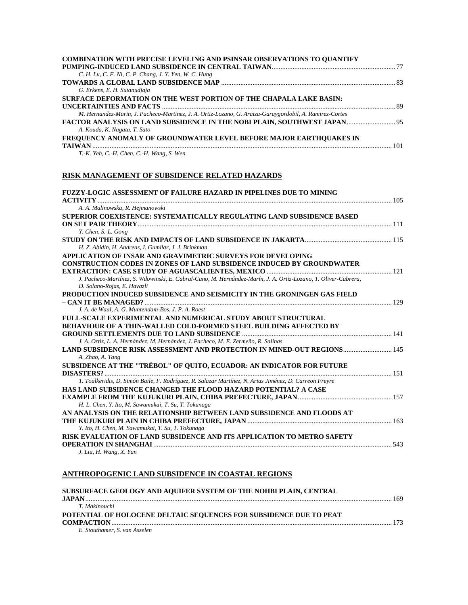| <b>COMBINATION WITH PRECISE LEVELING AND PSINSAR OBSERVATIONS TO OUANTIFY</b>                           |  |
|---------------------------------------------------------------------------------------------------------|--|
|                                                                                                         |  |
| C. H. Lu, C. F. Ni, C. P. Chang, J. Y. Yen, W. C. Hung                                                  |  |
|                                                                                                         |  |
| G. Erkens, E. H. Sutanudiaja                                                                            |  |
| SURFACE DEFORMATION ON THE WEST PORTION OF THE CHAPALA LAKE BASIN:                                      |  |
|                                                                                                         |  |
| M. Hernandez-Marin, J. Pacheco-Martinez, J. A. Ortiz-Lozano, G. Araiza-Garaygordobil, A. Ramirez-Cortes |  |
| <b>FACTOR ANALYSIS ON LAND SUBSIDENCE IN THE NOBI PLAIN, SOUTHWEST JAPAN 95</b>                         |  |
| A. Kouda, K. Nagata, T. Sato                                                                            |  |
| FREQUENCY ANOMALY OF GROUNDWATER LEVEL BEFORE MAJOR EARTHOUAKES IN                                      |  |
|                                                                                                         |  |
| T.-K. Yeh, C.-H. Chen, C.-H. Wang, S. Wen                                                               |  |

### **RISK MANAGEMENT OF SUBSIDENCE RELATED HAZARDS**

| FUZZY-LOGIC ASSESSMENT OF FAILURE HAZARD IN PIPELINES DUE TO MINING                                           |  |
|---------------------------------------------------------------------------------------------------------------|--|
|                                                                                                               |  |
| A. A. Malinowska, R. Hejmanowski                                                                              |  |
| SUPERIOR COEXISTENCE: SYSTEMATICALLY REGULATING LAND SUBSIDENCE BASED                                         |  |
|                                                                                                               |  |
| Y. Chen, S.-L. Gong                                                                                           |  |
|                                                                                                               |  |
| H. Z. Abidin, H. Andreas, I. Gumilar, J. J. Brinkman                                                          |  |
| APPLICATION OF INSAR AND GRAVIMETRIC SURVEYS FOR DEVELOPING                                                   |  |
| <b>CONSTRUCTION CODES IN ZONES OF LAND SUBSIDENCE INDUCED BY GROUNDWATER</b>                                  |  |
|                                                                                                               |  |
| J. Pacheco-Martínez, S. Wdowinski, E. Cabral-Cano, M. Hernández-Marín, J. A. Ortiz-Lozano, T. Oliver-Cabrera, |  |
| D. Solano-Rojas, E. Havazli                                                                                   |  |
| PRODUCTION INDUCED SUBSIDENCE AND SEISMICITY IN THE GRONINGEN GAS FIELD                                       |  |
|                                                                                                               |  |
| J. A. de Waal, A. G. Muntendam-Bos, J. P. A. Roest                                                            |  |
| FULL-SCALE EXPERIMENTAL AND NUMERICAL STUDY ABOUT STRUCTURAL                                                  |  |
| <b>BEHAVIOUR OF A THIN-WALLED COLD-FORMED STEEL BUILDING AFFECTED BY</b>                                      |  |
|                                                                                                               |  |
| J. A. Ortiz, L. A. Hernández, M. Hernández, J. Pacheco, M. E. Zermeño, R. Salinas                             |  |
| LAND SUBSIDENCE RISK ASSESSMENT AND PROTECTION IN MINED-OUT REGIONS 145                                       |  |
| A. Zhao, A. Tang                                                                                              |  |
| SUBSIDENCE AT THE "TRÉBOL" OF QUITO, ECUADOR: AN INDICATOR FOR FUTURE                                         |  |
|                                                                                                               |  |
| T. Toulkeridis, D. Simón Baile, F. Rodríguez, R. Salazar Martínez, N. Arias Jiménez, D. Carreon Freyre        |  |
| HAS LAND SUBSIDENCE CHANGED THE FLOOD HAZARD POTENTIAL? A CASE                                                |  |
|                                                                                                               |  |
| H. L. Chen, Y. Ito, M. Sawamukai, T. Su, T. Tokunaga                                                          |  |
| AN ANALYSIS ON THE RELATIONSHIP BETWEEN LAND SUBSIDENCE AND FLOODS AT                                         |  |
|                                                                                                               |  |
| Y. Ito, H. Chen, M. Sawamukai, T. Su, T. Tokunaga                                                             |  |
| RISK EVALUATION OF LAND SUBSIDENCE AND ITS APPLICATION TO METRO SAFETY                                        |  |
|                                                                                                               |  |
| J. Liu, H. Wang, X. Yan                                                                                       |  |

# **ANTHROPOGENIC LAND SUBSIDENCE IN COASTAL REGIONS**

| SUBSURFACE GEOLOGY AND AQUIFER SYSTEM OF THE NOHBI PLAIN, CENTRAL  |  |
|--------------------------------------------------------------------|--|
|                                                                    |  |
| T. Makinouchi                                                      |  |
| POTENTIAL OF HOLOCENE DELTAIC SEQUENCES FOR SUBSIDENCE DUE TO PEAT |  |
|                                                                    |  |
| E. Stouthamer, S. van Asselen                                      |  |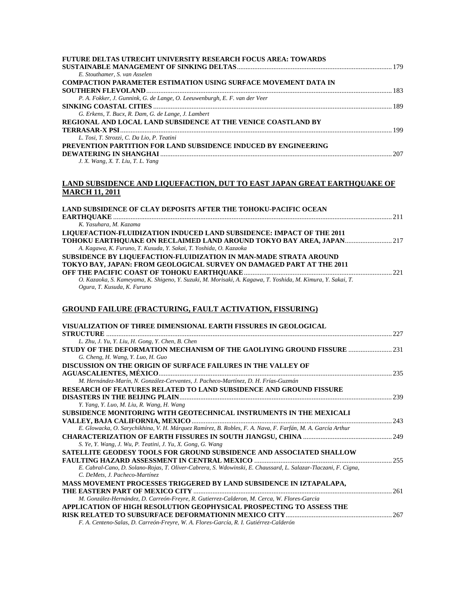| <b>FUTURE DELTAS UTRECHT UNIVERSITY RESEARCH FOCUS AREA: TOWARDS</b>       |  |
|----------------------------------------------------------------------------|--|
|                                                                            |  |
| E. Stouthamer, S. van Asselen                                              |  |
| <b>COMPACTION PARAMETER ESTIMATION USING SURFACE MOVEMENT DATA IN</b>      |  |
|                                                                            |  |
| P. A. Fokker, J. Gunnink, G. de Lange, O. Leeuwenburgh, E. F. van der Veer |  |
|                                                                            |  |
| G. Erkens, T. Bucx, R. Dam, G. de Lange, J. Lambert                        |  |
| REGIONAL AND LOCAL LAND SUBSIDENCE AT THE VENICE COASTLAND BY              |  |
|                                                                            |  |
| L. Tosi, T. Strozzi, C. Da Lio, P. Teatini                                 |  |
| PREVENTION PARTITION FOR LAND SUBSIDENCE INDUCED BY ENGINEERING            |  |
|                                                                            |  |
| J. X. Wang, X. T. Liu, T. L. Yang                                          |  |

#### **LAND SUBSIDENCE AND LIQUEFACTION, DUT TO EAST JAPAN GREAT EARTHQUAKE OF MARCH 11, 2011**

| LAND SUBSIDENCE OF CLAY DEPOSITS AFTER THE TOHOKU-PACIFIC OCEAN                                             |     |
|-------------------------------------------------------------------------------------------------------------|-----|
|                                                                                                             | 211 |
| K. Yasuhara, M. Kazama                                                                                      |     |
| LIQUEFACTION-FLUIDIZATION INDUCED LAND SUBSIDENCE: IMPACT OF THE 2011                                       |     |
|                                                                                                             |     |
| A. Kagawa, K. Furuno, T. Kusuda, Y. Sakai, T. Yoshida, O. Kazaoka                                           |     |
| SUBSIDENCE BY LIQUEFACTION-FLUIDIZATION IN MAN-MADE STRATA AROUND                                           |     |
| <b>TOKYO BAY, JAPAN: FROM GEOLOGICAL SURVEY ON DAMAGED PART AT THE 2011</b>                                 |     |
|                                                                                                             |     |
| O. Kazaoka, S. Kameyama, K. Shigeno, Y. Suzuki, M. Morisaki, A. Kagawa, T. Yoshida, M. Kimura, Y. Sakai, T. |     |
| Ogura, T. Kusuda, K. Furuno                                                                                 |     |

#### **GROUND FAILURE (FRACTURING, FAULT ACTIVATION, FISSURING)**

| VISUALIZATION OF THREE DIMENSIONAL EARTH FISSURES IN GEOLOGICAL                                                |     |
|----------------------------------------------------------------------------------------------------------------|-----|
|                                                                                                                |     |
| L. Zhu, J. Yu, Y. Liu, H. Gong, Y. Chen, B. Chen                                                               |     |
| <b>STUDY OF THE DEFORMATION MECHANISM OF THE GAOLIYING GROUND FISSURE </b> 231                                 |     |
| G. Cheng, H. Wang, Y. Luo, H. Guo                                                                              |     |
| DISCUSSION ON THE ORIGIN OF SURFACE FAILURES IN THE VALLEY OF                                                  |     |
|                                                                                                                |     |
| M. Hernández-Marín, N. González-Cervantes, J. Pacheco-Martínez, D. H. Frías-Guzmán                             |     |
| RESEARCH OF FEATURES RELATED TO LAND SUBSIDENCE AND GROUND FISSURE                                             |     |
|                                                                                                                | 239 |
| Y. Yang, Y. Luo, M. Liu, R. Wang, H. Wang                                                                      |     |
| SUBSIDENCE MONITORING WITH GEOTECHNICAL INSTRUMENTS IN THE MEXICALI                                            |     |
|                                                                                                                | 243 |
| E. Glowacka, O. Sarychikhina, V. H. Márquez Ramírez, B. Robles, F. A. Nava, F. Farfán, M. A. García Arthur     |     |
|                                                                                                                |     |
| S. Ye, Y. Wang, J. Wu, P. Teatini, J. Yu, X. Gong, G. Wang                                                     |     |
| SATELLITE GEODESY TOOLS FOR GROUND SUBSIDENCE AND ASSOCIATED SHALLOW                                           |     |
|                                                                                                                |     |
| E. Cabral-Cano, D. Solano-Rojas, T. Oliver-Cabrera, S. Wdowinski, E. Chaussard, L. Salazar-Tlaczani, F. Cigna, |     |
| C. DeMets, J. Pacheco-Martínez                                                                                 |     |
| MASS MOVEMENT PROCESSES TRIGGERED BY LAND SUBSIDENCE IN IZTAPALAPA,                                            |     |
|                                                                                                                |     |
| M. González-Hernández, D. Carreón-Freyre, R. Gutierrez-Calderon, M. Cerca, W. Flores-Garcia                    |     |
| APPLICATION OF HIGH RESOLUTION GEOPHYSICAL PROSPECTING TO ASSESS THE                                           |     |
|                                                                                                                |     |
| F. A. Centeno-Salas, D. Carreón-Freyre, W. A. Flores-García, R. I. Gutiérrez-Calderón                          |     |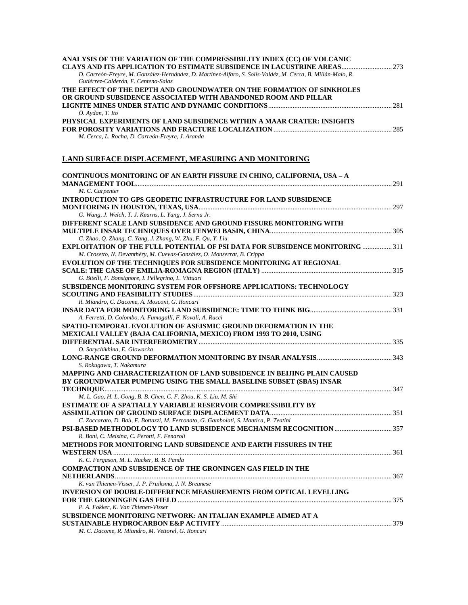| ANALYSIS OF THE VARIATION OF THE COMPRESSIBILITY INDEX (CC) OF VOLCANIC                                                                                                                        |  |
|------------------------------------------------------------------------------------------------------------------------------------------------------------------------------------------------|--|
| <b>CLAYS AND ITS APPLICATION TO ESTIMATE SUBSIDENCE IN LACUSTRINE AREAS</b> 273<br>D. Carreón-Freyre, M. González-Hernández, D. Martinez-Alfaro, S. Solís-Valdéz, M. Cerca, B. Millán-Malo, R. |  |
| Gutiérrez-Calderón, F. Centeno-Salas                                                                                                                                                           |  |
| THE EFFECT OF THE DEPTH AND GROUNDWATER ON THE FORMATION OF SINKHOLES                                                                                                                          |  |
| OR GROUND SUBSIDENCE ASSOCIATED WITH ABANDONED ROOM AND PILLAR                                                                                                                                 |  |
| Ö. Aydan, T. Ito                                                                                                                                                                               |  |
| PHYSICAL EXPERIMENTS OF LAND SUBSIDENCE WITHIN A MAAR CRATER: INSIGHTS                                                                                                                         |  |
|                                                                                                                                                                                                |  |
| M. Cerca, L. Rocha, D. Carreón-Freyre, J. Aranda                                                                                                                                               |  |
|                                                                                                                                                                                                |  |
| LAND SURFACE DISPLACEMENT, MEASURING AND MONITORING                                                                                                                                            |  |
| <b>CONTINUOUS MONITORING OF AN EARTH FISSURE IN CHINO, CALIFORNIA, USA – A</b>                                                                                                                 |  |
|                                                                                                                                                                                                |  |
| M. C. Carpenter                                                                                                                                                                                |  |
| <b>INTRODUCTION TO GPS GEODETIC INFRASTRUCTURE FOR LAND SUBSIDENCE</b>                                                                                                                         |  |
| G. Wang, J. Welch, T. J. Kearns, L. Yang, J. Serna Jr.                                                                                                                                         |  |
| DIFFERENT SCALE LAND SUBSIDENCE AND GROUND FISSURE MONITORING WITH                                                                                                                             |  |
|                                                                                                                                                                                                |  |
| C. Zhao, Q. Zhang, C. Yang, J. Zhang, W. Zhu, F. Qu, Y. Liu                                                                                                                                    |  |
| <b>EXPLOITATION OF THE FULL POTENTIAL OF PSI DATA FOR SUBSIDENCE MONITORING  311</b><br>M. Crosetto, N. Devanthéry, M. Cuevas-González, O. Monserrat, B. Crippa                                |  |
| EVOLUTION OF THE TECHNIQUES FOR SUBSIDENCE MONITORING AT REGIONAL                                                                                                                              |  |
|                                                                                                                                                                                                |  |
| G. Bitelli, F. Bonsignore, I. Pellegrino, L. Vittuari                                                                                                                                          |  |
| <b>SUBSIDENCE MONITORING SYSTEM FOR OFFSHORE APPLICATIONS: TECHNOLOGY</b>                                                                                                                      |  |
| R. Miandro, C. Dacome, A. Mosconi, G. Roncari                                                                                                                                                  |  |
|                                                                                                                                                                                                |  |
| A. Ferretti, D. Colombo, A. Fumagalli, F. Novali, A. Rucci                                                                                                                                     |  |
| SPATIO-TEMPORAL EVOLUTION OF ASEISMIC GROUND DEFORMATION IN THE                                                                                                                                |  |
| MEXICALI VALLEY (BAJA CALIFORNIA, MEXICO) FROM 1993 TO 2010, USING                                                                                                                             |  |
| O. Sarychikhina, E. Glowacka                                                                                                                                                                   |  |
|                                                                                                                                                                                                |  |
| S. Rokugawa, T. Nakamura                                                                                                                                                                       |  |
| MAPPING AND CHARACTERIZATION OF LAND SUBSIDENCE IN BELJING PLAIN CAUSED<br>BY GROUNDWATER PUMPING USING THE SMALL BASELINE SUBSET (SBAS) INSAR                                                 |  |
|                                                                                                                                                                                                |  |
| M. L. Gao, H. L. Gong, B. B. Chen, C. F. Zhou, K. S. Liu, M. Shi                                                                                                                               |  |
| ESTIMATE OF A SPATIALLY VARIABLE RESERVOIR COMPRESSIBILITY BY                                                                                                                                  |  |
| C. Zoccarato, D. Baù, F. Bottazzi, M. Ferronato, G. Gambolati, S. Mantica, P. Teatini                                                                                                          |  |
|                                                                                                                                                                                                |  |
| R. Bonì, C. Meisina, C. Perotti, F. Fenaroli                                                                                                                                                   |  |
| METHODS FOR MONITORING LAND SUBSIDENCE AND EARTH FISSURES IN THE                                                                                                                               |  |
| K. C. Fergason, M. L. Rucker, B. B. Panda                                                                                                                                                      |  |
| <b>COMPACTION AND SUBSIDENCE OF THE GRONINGEN GAS FIELD IN THE</b>                                                                                                                             |  |
|                                                                                                                                                                                                |  |
| K. van Thienen-Visser, J. P. Pruiksma, J. N. Breunese                                                                                                                                          |  |
| <b>INVERSION OF DOUBLE-DIFFERENCE MEASUREMENTS FROM OPTICAL LEVELLING</b>                                                                                                                      |  |
| P. A. Fokker, K. Van Thienen-Visser                                                                                                                                                            |  |
| SUBSIDENCE MONITORING NETWORK: AN ITALIAN EXAMPLE AIMED AT A                                                                                                                                   |  |
|                                                                                                                                                                                                |  |
| M. C. Dacome, R. Miandro, M. Vettorel, G. Roncari                                                                                                                                              |  |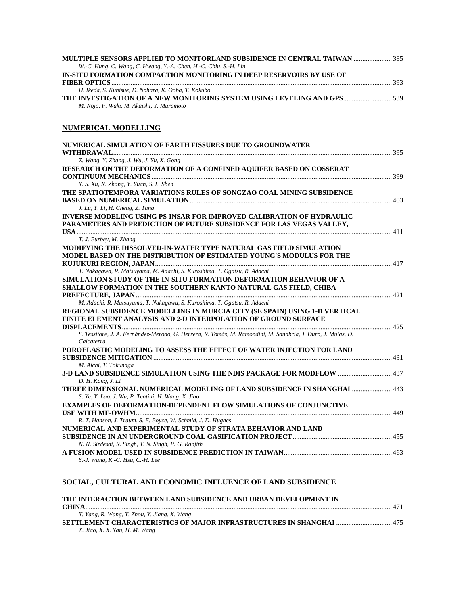| <b>MULTIPLE SENSORS APPLIED TO MONITORLAND SUBSIDENCE IN CENTRAL TAIWAN  385</b><br>W.-C. Hung, C. Wang, C. Hwang, Y.-A. Chen, H.-C. Chiu, S.-H. Lin |  |
|------------------------------------------------------------------------------------------------------------------------------------------------------|--|
| IN-SITU FORMATION COMPACTION MONITORING IN DEEP RESERVOIRS BY USE OF                                                                                 |  |
|                                                                                                                                                      |  |
| H. Ikeda, S. Kunisue, D. Nohara, K. Ooba, T. Kokubo                                                                                                  |  |
| THE INVESTIGATION OF A NEW MONITORING SYSTEM USING LEVELING AND GPS 539<br>M. Nojo, F. Waki, M. Akaishi, Y. Muramoto                                 |  |
| <b>NUMERICAL MODELLING</b>                                                                                                                           |  |
| NUMERICAL SIMULATION OF EARTH FISSURES DUE TO GROUNDWATER                                                                                            |  |
| Z. Wang, Y. Zhang, J. Wu, J. Yu, X. Gong                                                                                                             |  |
| RESEARCH ON THE DEFORMATION OF A CONFINED AQUIFER BASED ON COSSERAT                                                                                  |  |
| Y. S. Xu, N. Zhang, Y. Yuan, S. L. Shen                                                                                                              |  |
| THE SPATIOTEMPORA VARIATIONS RULES OF SONGZAO COAL MINING SUBSIDENCE                                                                                 |  |
| J. Lu, Y. Li, H. Cheng, Z. Tang                                                                                                                      |  |
| <b>INVERSE MODELING USING PS-INSAR FOR IMPROVED CALIBRATION OF HYDRAULIC</b>                                                                         |  |
| PARAMETERS AND PREDICTION OF FUTURE SUBSIDENCE FOR LAS VEGAS VALLEY,                                                                                 |  |
|                                                                                                                                                      |  |
| T. J. Burbey, M. Zhang                                                                                                                               |  |
| MODIFYING THE DISSOLVED-IN-WATER TYPE NATURAL GAS FIELD SIMULATION                                                                                   |  |
| MODEL BASED ON THE DISTRIBUTION OF ESTIMATED YOUNG'S MODULUS FOR THE                                                                                 |  |
| T. Nakagawa, R. Matsuyama, M. Adachi, S. Kuroshima, T. Ogatsu, R. Adachi                                                                             |  |
| SIMULATION STUDY OF THE IN-SITU FORMATION DEFORMATION BEHAVIOR OF A                                                                                  |  |
| SHALLOW FORMATION IN THE SOUTHERN KANTO NATURAL GAS FIELD, CHIBA                                                                                     |  |
|                                                                                                                                                      |  |
| M. Adachi, R. Matsuyama, T. Nakagawa, S. Kuroshima, T. Ogatsu, R. Adachi                                                                             |  |
| REGIONAL SUBSIDENCE MODELLING IN MURCIA CITY (SE SPAIN) USING 1-D VERTICAL                                                                           |  |
| FINITE ELEMENT ANALYSIS AND 2-D INTERPOLATION OF GROUND SURFACE                                                                                      |  |
|                                                                                                                                                      |  |
| S. Tessitore, J. A. Fernández-Merodo, G. Herrera, R. Tomás, M. Ramondini, M. Sanabria, J. Duro, J. Mulas, D.<br>Calcaterra                           |  |
| POROELASTIC MODELING TO ASSESS THE EFFECT OF WATER INJECTION FOR LAND                                                                                |  |
|                                                                                                                                                      |  |
| M. Aichi, T. Tokunaga                                                                                                                                |  |
| 3-D LAND SUBSIDENCE SIMULATION USING THE NDIS PACKAGE FOR MODFLOW  437                                                                               |  |
| D. H. Kang, J. Li                                                                                                                                    |  |
| THREE DIMENSIONAL NUMERICAL MODELING OF LAND SUBSIDENCE IN SHANGHAI  443<br>S. Ye, Y. Luo, J. Wu, P. Teatini, H. Wang, X. Jiao                       |  |
| <b>EXAMPLES OF DEFORMATION-DEPENDENT FLOW SIMULATIONS OF CONJUNCTIVE</b>                                                                             |  |
|                                                                                                                                                      |  |
| R. T. Hanson, J. Traum, S. E. Boyce, W. Schmid, J. D. Hughes                                                                                         |  |
| NUMERICAL AND EXPERIMENTAL STUDY OF STRATA BEHAVIOR AND LAND                                                                                         |  |
| N. N. Sirdesai, R. Singh, T. N. Singh, P. G. Ranjith                                                                                                 |  |
|                                                                                                                                                      |  |
| S.-J. Wang, K.-C. Hsu, C.-H. Lee                                                                                                                     |  |
|                                                                                                                                                      |  |

# **SOCIAL, CULTURAL AND ECONOMIC INFLUENCE OF LAND SUBSIDENCE**

| THE INTERACTION BETWEEN LAND SUBSIDENCE AND URBAN DEVELOPMENT IN |       |
|------------------------------------------------------------------|-------|
|                                                                  | . 471 |
| Y. Yang, R. Wang, Y. Zhou, Y. Jiang, X. Wang                     |       |
|                                                                  |       |
| X. Jiao, X. X. Yan, H. M. Wang                                   |       |
|                                                                  |       |